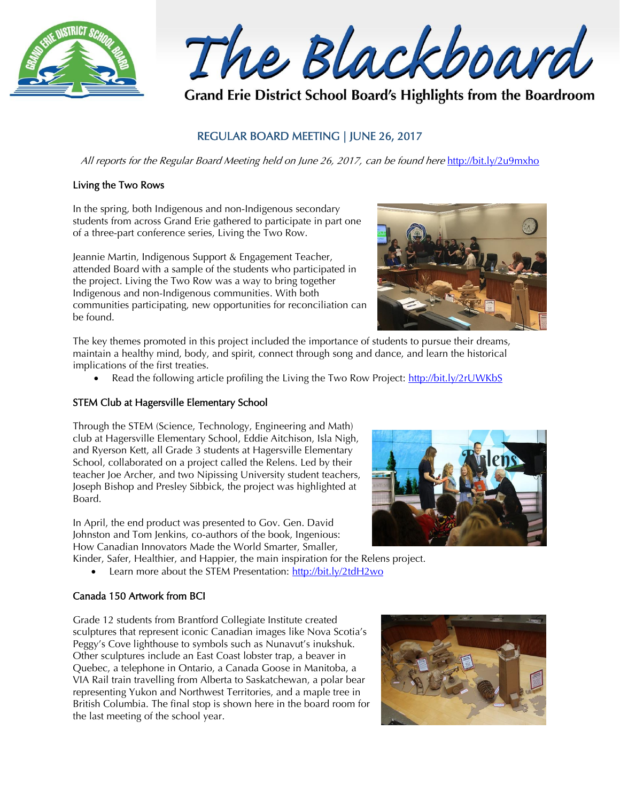

The Blackboard

Grand Erie District School Board's Highlights from the Boardroom

# REGULAR BOARD MEETING | JUNE 26, 2017

All reports for the Regular Board Meeting held on June 26, 2017, can be found here <http://bit.ly/2u9mxho>

### Living the Two Rows

In the spring, both Indigenous and non-Indigenous secondary students from across Grand Erie gathered to participate in part one of a three-part conference series, Living the Two Row.

Jeannie Martin, Indigenous Support & Engagement Teacher, attended Board with a sample of the students who participated in the project. Living the Two Row was a way to bring together Indigenous and non-Indigenous communities. With both communities participating, new opportunities for reconciliation can be found.



The key themes promoted in this project included the importance of students to pursue their dreams, maintain a healthy mind, body, and spirit, connect through song and dance, and learn the historical implications of the first treaties.

Read the following article profiling the Living the Two Row Project:<http://bit.ly/2rUWKbS>

### STEM Club at Hagersville Elementary School

Through the STEM (Science, Technology, Engineering and Math) club at Hagersville Elementary School, Eddie Aitchison, Isla Nigh, and Ryerson Kett, all Grade 3 students at Hagersville Elementary School, collaborated on a project called the Relens. Led by their teacher Joe Archer, and two Nipissing University student teachers, Joseph Bishop and Presley Sibbick, the project was highlighted at Board.

In April, the end product was presented to Gov. Gen. David Johnston and Tom Jenkins, co-authors of the book, Ingenious: How Canadian Innovators Made the World Smarter, Smaller,

Kinder, Safer, Healthier, and Happier, the main inspiration for the Relens project.

Learn more about the STEM Presentation:<http://bit.ly/2tdH2wo>

## Canada 150 Artwork from BCI

Grade 12 students from Brantford Collegiate Institute created sculptures that represent iconic Canadian images like Nova Scotia's Peggy's Cove lighthouse to symbols such as Nunavut's inukshuk. Other sculptures include an East Coast lobster trap, a beaver in Quebec, a telephone in Ontario, a Canada Goose in Manitoba, a VIA Rail train travelling from Alberta to Saskatchewan, a polar bear representing Yukon and Northwest Territories, and a maple tree in British Columbia. The final stop is shown here in the board room for the last meeting of the school year.